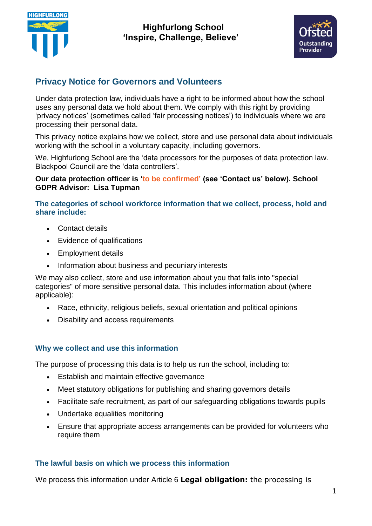



# **Privacy Notice for Governors and Volunteers**

Under data protection law, individuals have a right to be informed about how the school uses any personal data we hold about them. We comply with this right by providing 'privacy notices' (sometimes called 'fair processing notices') to individuals where we are processing their personal data.

This privacy notice explains how we collect, store and use personal data about individuals working with the school in a voluntary capacity, including governors.

We, Highfurlong School are the 'data processors for the purposes of data protection law. Blackpool Council are the 'data controllers'.

#### **Our data protection officer is 'to be confirmed' (see 'Contact us' below). School GDPR Advisor: Lisa Tupman**

**The categories of school workforce information that we collect, process, hold and share include:**

- Contact details
- Evidence of qualifications
- Employment details
- Information about business and pecuniary interests

We may also collect, store and use information about you that falls into "special categories" of more sensitive personal data. This includes information about (where applicable):

- Race, ethnicity, religious beliefs, sexual orientation and political opinions
- Disability and access requirements

### **Why we collect and use this information**

The purpose of processing this data is to help us run the school, including to:

- Establish and maintain effective governance
- Meet statutory obligations for publishing and sharing governors details
- Facilitate safe recruitment, as part of our safeguarding obligations towards pupils
- Undertake equalities monitoring
- Ensure that appropriate access arrangements can be provided for volunteers who require them

#### **The lawful basis on which we process this information**

We process this information under Article 6 **Legal obligation:** the processing is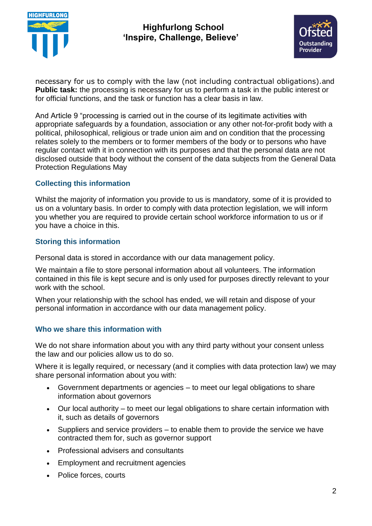

## **Highfurlong School 'Inspire, Challenge, Believe'**



necessary for us to comply with the law (not including contractual obligations).and **Public task:** the processing is necessary for us to perform a task in the public interest or for official functions, and the task or function has a clear basis in law.

And Article 9 "processing is carried out in the course of its legitimate activities with appropriate safeguards by a foundation, association or any other not-for-profit body with a political, philosophical, religious or trade union aim and on condition that the processing relates solely to the members or to former members of the body or to persons who have regular contact with it in connection with its purposes and that the personal data are not disclosed outside that body without the consent of the data subjects from the General Data Protection Regulations May

### **Collecting this information**

Whilst the majority of information you provide to us is mandatory, some of it is provided to us on a voluntary basis. In order to comply with data protection legislation, we will inform you whether you are required to provide certain school workforce information to us or if you have a choice in this.

### **Storing this information**

Personal data is stored in accordance with our data management policy.

We maintain a file to store personal information about all volunteers. The information contained in this file is kept secure and is only used for purposes directly relevant to your work with the school.

When your relationship with the school has ended, we will retain and dispose of your personal information in accordance with our data management policy.

### **Who we share this information with**

We do not share information about you with any third party without your consent unless the law and our policies allow us to do so.

Where it is legally required, or necessary (and it complies with data protection law) we may share personal information about you with:

- Government departments or agencies to meet our legal obligations to share information about governors
- Our local authority to meet our legal obligations to share certain information with it, such as details of governors
- $\bullet$  Suppliers and service providers to enable them to provide the service we have contracted them for, such as governor support
- Professional advisers and consultants
- Employment and recruitment agencies
- Police forces, courts